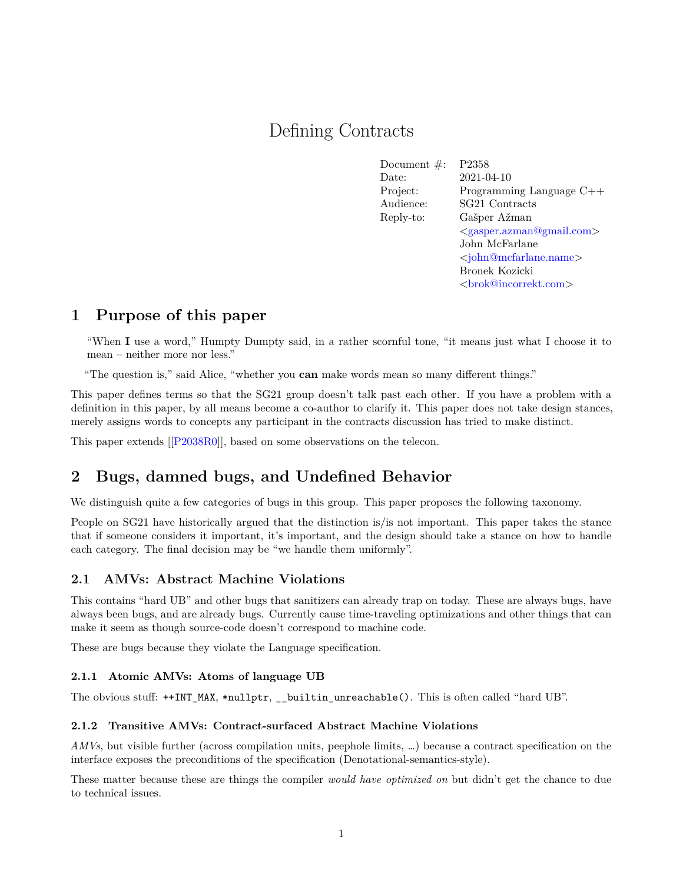# Defining Contracts

Document #: P2358 Date: 2021-04-10 Project: Programming Language C++ Audience: SG21 Contracts Reply-to: Gašper Ažman <[gasper.azman@gmail.com](mailto:gasper.azman@gmail.com)> John McFarlane <[john@mcfarlane.name>](mailto:john@mcfarlane.name) Bronek Kozicki <[brok@incorrekt.com>](mailto:brok@incorrekt.com)

## **1 Purpose of this paper**

"When **I** use a word," Humpty Dumpty said, in a rather scornful tone, "it means just what I choose it to mean – neither more nor less."

"The question is," said Alice, "whether you **can** make words mean so many different things."

This paper defines terms so that the SG21 group doesn't talk past each other. If you have a problem with a definition in this paper, by all means become a co-author to clarify it. This paper does not take design stances, merely assigns words to concepts any participant in the contracts discussion has tried to make distinct.

This paper extends [[[P2038R0\]](#page-3-0)], based on some observations on the telecon.

## **2 Bugs, damned bugs, and Undefined Behavior**

We distinguish quite a few categories of bugs in this group. This paper proposes the following taxonomy.

People on SG21 have historically argued that the distinction is/is not important. This paper takes the stance that if someone considers it important, it's important, and the design should take a stance on how to handle each category. The final decision may be "we handle them uniformly".

#### **2.1 AMVs: Abstract Machine Violations**

This contains "hard UB" and other bugs that sanitizers can already trap on today. These are always bugs, have always been bugs, and are already bugs. Currently cause time-traveling optimizations and other things that can make it seem as though source-code doesn't correspond to machine code.

These are bugs because they violate the Language specification.

#### **2.1.1 Atomic AMVs: Atoms of language UB**

The obvious stuff: ++INT\_MAX, \*nullptr, \_\_builtin\_unreachable(). This is often called "hard UB".

#### **2.1.2 Transitive AMVs: Contract-surfaced Abstract Machine Violations**

*AMVs*, but visible further (across compilation units, peephole limits, …) because a contract specification on the interface exposes the preconditions of the specification (Denotational-semantics-style).

These matter because these are things the compiler *would have optimized on* but didn't get the chance to due to technical issues.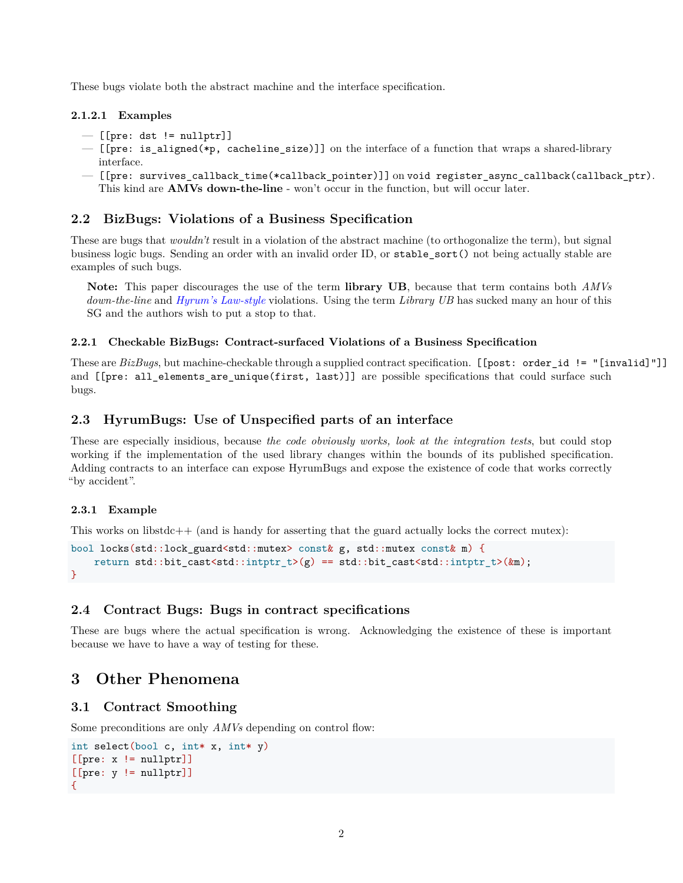These bugs violate both the abstract machine and the interface specification.

#### **2.1.2.1 Examples**

- $-$  [[pre: dst != nullptr]]
- [[pre: is\_aligned(\*p, cacheline\_size)]] on the interface of a function that wraps a shared-library interface.
- [[pre: survives\_callback\_time(\*callback\_pointer)]] on void register\_async\_callback(callback\_ptr). This kind are **AMVs down-the-line** - won't occur in the function, but will occur later.

#### **2.2 BizBugs: Violations of a Business Specification**

These are bugs that *wouldn't* result in a violation of the abstract machine (to orthogonalize the term), but signal business logic bugs. Sending an order with an invalid order ID, or stable\_sort() not being actually stable are examples of such bugs.

**Note:** This paper discourages the use of the term **library UB**, because that term contains both *AMVs down-the-line* and *[Hyrum's Law-style](www.hyrumslaw.com)* violations. Using the term *Library UB* has sucked many an hour of this SG and the authors wish to put a stop to that.

#### **2.2.1 Checkable BizBugs: Contract-surfaced Violations of a Business Specification**

These are *BizBugs*, but machine-checkable through a supplied contract specification. [[post: order\_id != "[invalid]"]] and [[pre: all elements are unique(first, last)]] are possible specifications that could surface such bugs.

#### **2.3 HyrumBugs: Use of Unspecified parts of an interface**

These are especially insidious, because *the code obviously works, look at the integration tests*, but could stop working if the implementation of the used library changes within the bounds of its published specification. Adding contracts to an interface can expose HyrumBugs and expose the existence of code that works correctly "by accident".

#### **2.3.1 Example**

This works on libstdc++ (and is handy for asserting that the guard actually locks the correct mutex):

```
bool locks(std::lock_guard<std::mutex> const& g, std::mutex const& m) {
    return std::bit_cast<std::intptr_t>(g) == std::bit_cast<std::intptr_t>(&m);
}
```
### **2.4 Contract Bugs: Bugs in contract specifications**

These are bugs where the actual specification is wrong. Acknowledging the existence of these is important because we have to have a way of testing for these.

## **3 Other Phenomena**

#### **3.1 Contract Smoothing**

Some preconditions are only *AMVs* depending on control flow:

```
int select(bool c, int* x, int* y)
[[pre: x != nullptr]][[pre: y != nullptr]]
{
```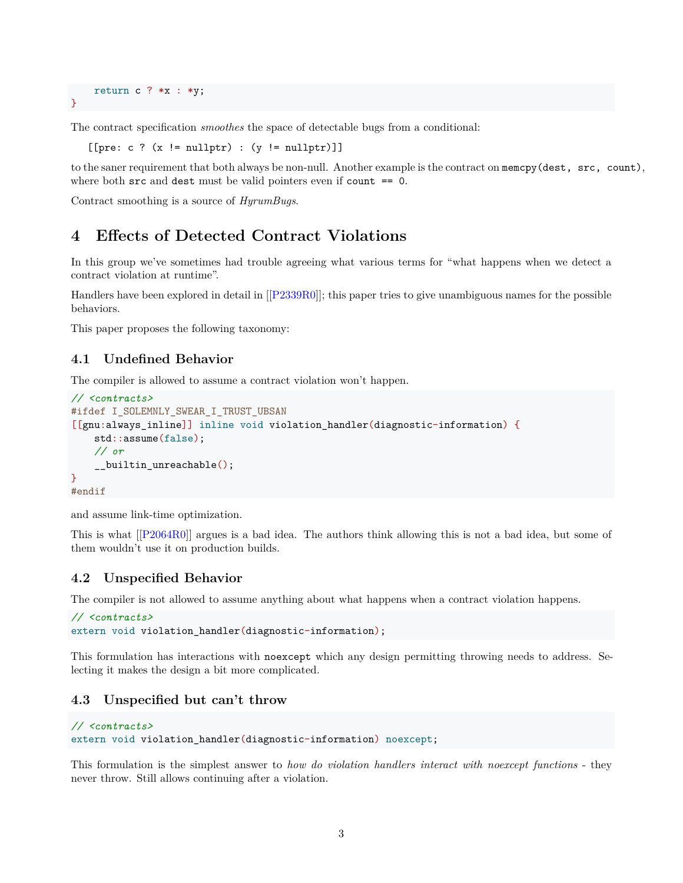return  $c$  ? \*x : \*y; }

The contract specification *smoothes* the space of detectable bugs from a conditional:

 $[$ [pre: c ? (x != nullptr) : (y != nullptr)]]

to the saner requirement that both always be non-null. Another example is the contract on memcpy(dest, src, count), where both src and dest must be valid pointers even if count == 0.

Contract smoothing is a source of *HyrumBugs*.

## **4 Effects of Detected Contract Violations**

In this group we've sometimes had trouble agreeing what various terms for "what happens when we detect a contract violation at runtime".

Handlers have been explored in detail in [[\[P2339R0](#page-3-1)]]; this paper tries to give unambiguous names for the possible behaviors.

This paper proposes the following taxonomy:

### **4.1 Undefined Behavior**

The compiler is allowed to assume a contract violation won't happen.

```
// <contracts>
#ifdef I_SOLEMNLY_SWEAR_I_TRUST_UBSAN
[[gnu:always_inline]] inline void violation_handler(diagnostic-information) {
   std::assume(false);
    // or
    __builtin_unreachable();
}
#endif
```
and assume link-time optimization.

This is what [[[P2064R0\]](#page-3-2)] argues is a bad idea. The authors think allowing this is not a bad idea, but some of them wouldn't use it on production builds.

#### **4.2 Unspecified Behavior**

The compiler is not allowed to assume anything about what happens when a contract violation happens.

```
// <contracts>
extern void violation_handler(diagnostic-information);
```
This formulation has interactions with noexcept which any design permitting throwing needs to address. Selecting it makes the design a bit more complicated.

#### **4.3 Unspecified but can't throw**

```
// <contracts>
extern void violation handler(diagnostic-information) noexcept;
```
This formulation is the simplest answer to *how do violation handlers interact with noexcept functions* - they never throw. Still allows continuing after a violation.